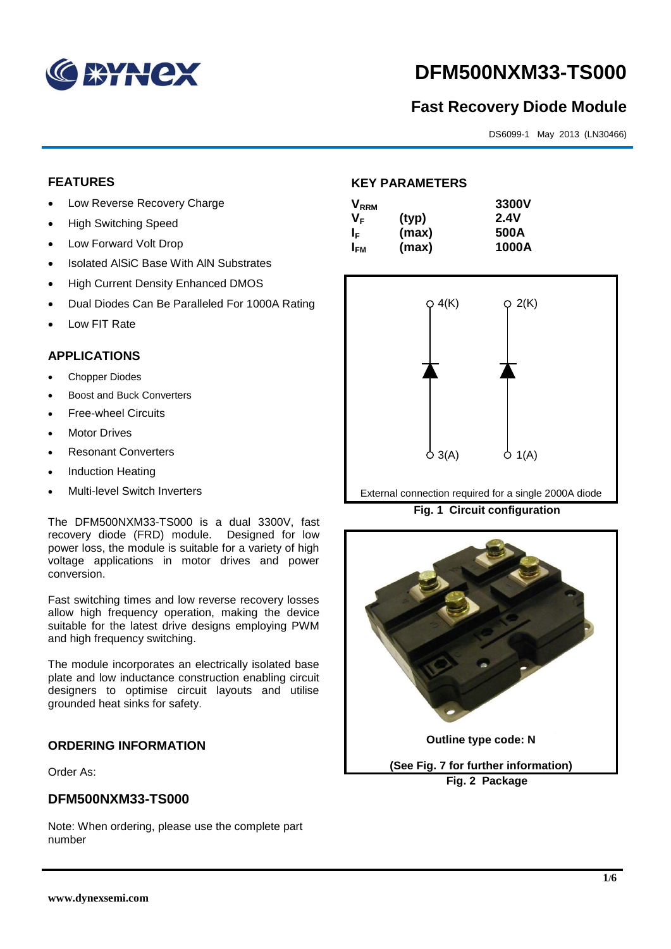

# **DFM500NXM33-TS000**

## **Fast Recovery Diode Module**

DS6099-1 May 2013 (LN30466)

#### **FEATURES**

- Low Reverse Recovery Charge
- High Switching Speed
- Low Forward Volt Drop
- Isolated AISiC Base With AIN Substrates
- High Current Density Enhanced DMOS
- Dual Diodes Can Be Paralleled For 1000A Rating
- Low FIT Rate

#### **APPLICATIONS**

- Chopper Diodes
- Boost and Buck Converters
- Free-wheel Circuits
- Motor Drives
- Resonant Converters
- Induction Heating
- Multi-level Switch Inverters

The DFM500NXM33-TS000 is a dual 3300V, fast recovery diode (FRD) module. Designed for low power loss, the module is suitable for a variety of high voltage applications in motor drives and power conversion.

Fast switching times and low reverse recovery losses allow high frequency operation, making the device suitable for the latest drive designs employing PWM and high frequency switching.

The module incorporates an electrically isolated base plate and low inductance construction enabling circuit designers to optimise circuit layouts and utilise grounded heat sinks for safety.

#### **ORDERING INFORMATION**

Order As:

#### **DFM500NXM33-TS000**

Note: When ordering, please use the complete part number

#### **KEY PARAMETERS**

| $\mathsf{V}_{\mathsf{RRM}}$ |       | 3300V       |
|-----------------------------|-------|-------------|
| Vғ                          | (typ) | <b>2.4V</b> |
| IF.                         | (max) | 500A        |
| I <sub>FМ</sub>             | (max) | 1000A       |



External connection required for a single 2000A diode

**Fig. 1 Circuit configuration**



**Fig. 2 Package**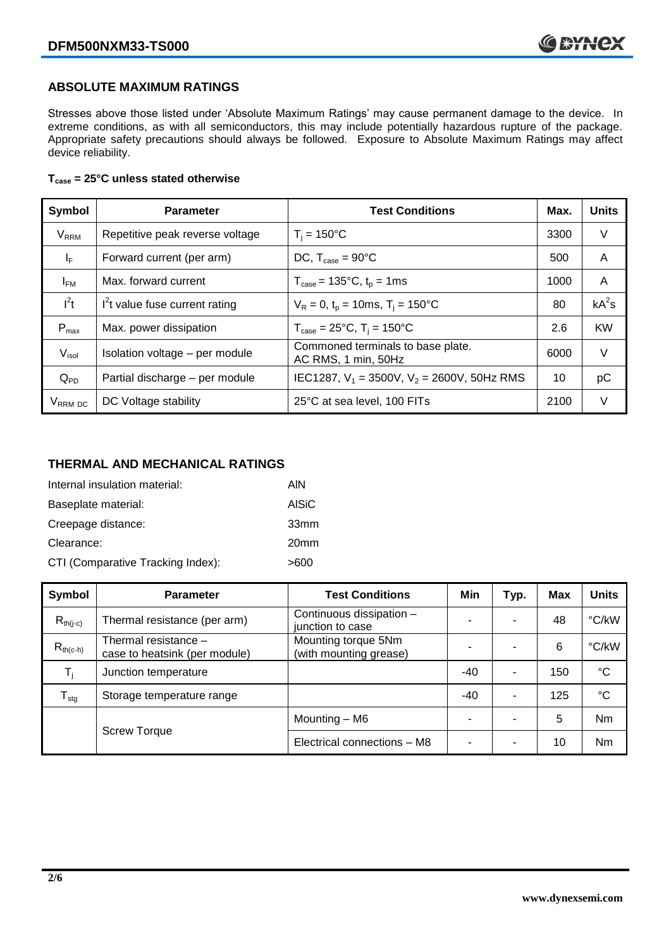#### **ABSOLUTE MAXIMUM RATINGS**

Stresses above those listed under 'Absolute Maximum Ratings' may cause permanent damage to the device. In extreme conditions, as with all semiconductors, this may include potentially hazardous rupture of the package. Appropriate safety precautions should always be followed. Exposure to Absolute Maximum Ratings may affect device reliability.

#### **Tcase = 25°C unless stated otherwise**

| Symbol                 | <b>Parameter</b>                | <b>Test Conditions</b>                                   | Max. | <b>Units</b> |
|------------------------|---------------------------------|----------------------------------------------------------|------|--------------|
| <b>V<sub>RRM</sub></b> | Repetitive peak reverse voltage | $T_i = 150^{\circ}C$                                     | 3300 | V            |
| $I_F$                  | Forward current (per arm)       | DC, $T_{\text{case}} = 90^{\circ}$ C                     | 500  | A            |
| $I_{FM}$               | Max. forward current            | $T_{\text{case}} = 135^{\circ}C, t_{p} = 1ms$            | 1000 | A            |
| $I^2t$                 | $I2t$ value fuse current rating | $V_R = 0$ , $t_p = 10$ ms, $T_i = 150^{\circ}$ C         | 80   | $kA^2s$      |
| $P_{max}$              | Max. power dissipation          | $T_{\text{case}} = 25^{\circ}C$ , $T_i = 150^{\circ}C$   | 2.6  | <b>KW</b>    |
| V <sub>isol</sub>      | Isolation voltage - per module  | Commoned terminals to base plate.<br>AC RMS, 1 min, 50Hz | 6000 | $\vee$       |
| $Q_{PD}$               | Partial discharge - per module  | IEC1287, $V_1$ = 3500V, $V_2$ = 2600V, 50Hz RMS          | 10   | рC           |
| V <sub>RRM</sub> DC    | DC Voltage stability            | 25°C at sea level, 100 FITs                              | 2100 | V            |

### **THERMAL AND MECHANICAL RATINGS**

| Internal insulation material:     | AIN              |
|-----------------------------------|------------------|
| Baseplate material:               | AISiC            |
| Creepage distance:                | 33mm             |
| Clearance:                        | 20 <sub>mm</sub> |
| CTI (Comparative Tracking Index): | >600             |

| Symbol                     | <b>Parameter</b>                                      | <b>Test Conditions</b>                        | Min   | Typ. | Max | <b>Units</b>    |
|----------------------------|-------------------------------------------------------|-----------------------------------------------|-------|------|-----|-----------------|
| $R_{th(i-c)}$              | Thermal resistance (per arm)                          | Continuous dissipation -<br>junction to case  | -     |      | 48  | °C/kW           |
| $R_{th(c-h)}$              | Thermal resistance -<br>case to heatsink (per module) | Mounting torque 5Nm<br>(with mounting grease) |       |      | 6   | °C/kW           |
| T,                         | Junction temperature                                  |                                               | $-40$ | ۰    | 150 | $^{\circ}C$     |
| ${\mathsf T}_{\text{stg}}$ | Storage temperature range                             |                                               | $-40$ | ۰    | 125 | $\rm ^{\circ}C$ |
|                            |                                                       | Mounting - M6                                 | ۰     |      | 5   | <b>Nm</b>       |
|                            | <b>Screw Torque</b>                                   | Electrical connections - M8                   | ۰     |      | 10  | Nm              |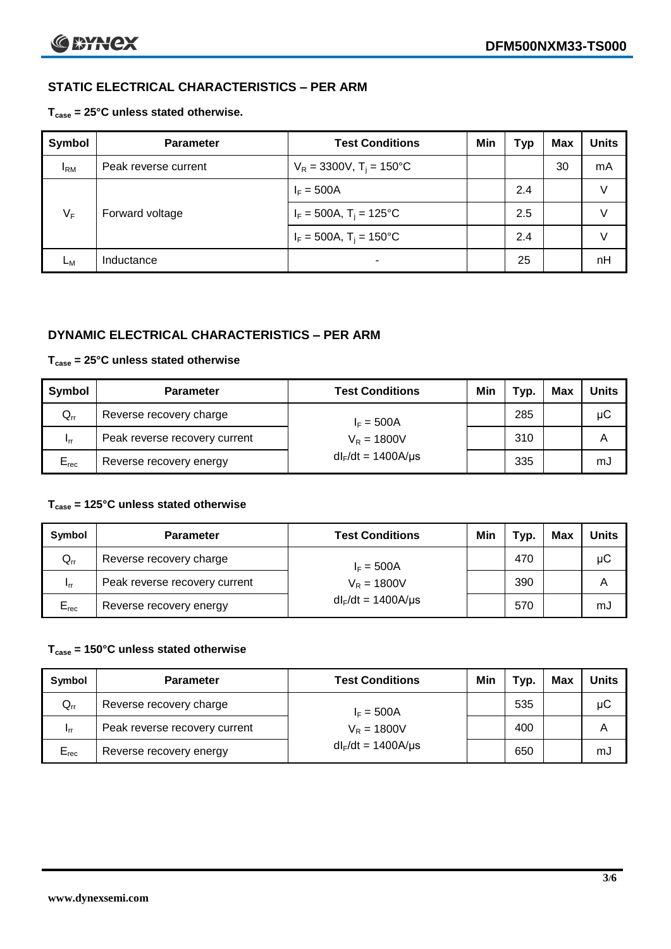### **STATIC ELECTRICAL CHARACTERISTICS – PER ARM**

**Tcase = 25°C unless stated otherwise.**

| Symbol       | <b>Parameter</b>     | <b>Test Conditions</b>                 | Min | Гур | <b>Max</b> | <b>Units</b> |
|--------------|----------------------|----------------------------------------|-----|-----|------------|--------------|
| $I_{\rm RM}$ | Peak reverse current | $V_R = 3300V$ , T <sub>i</sub> = 150°C |     |     | 30         | mA           |
| $V_F$        | Forward voltage      | $I_F = 500A$                           |     | 2.4 |            | V            |
|              |                      | $I_F = 500A$ , $T_i = 125^{\circ}C$    |     | 2.5 |            | V            |
|              |                      | $I_F = 500A$ , $T_i = 150^{\circ}C$    |     | 2.4 |            | V            |
| Lм           | Inductance           | -                                      |     | 25  |            | nH           |

#### **DYNAMIC ELECTRICAL CHARACTERISTICS – PER ARM**

#### **Tcase = 25°C unless stated otherwise**

| Symbol    | <b>Parameter</b>              | <b>Test Conditions</b>  | Min | Typ. | <b>Max</b> | <b>Units</b> |
|-----------|-------------------------------|-------------------------|-----|------|------------|--------------|
| $Q_{rr}$  | Reverse recovery charge       | $I_F = 500A$            |     | 285  |            | $\mu$ C      |
| 1rr       | Peak reverse recovery current | $V_{\rm R} = 1800V$     |     | 310  |            | A            |
| $E_{rec}$ | Reverse recovery energy       | $dl_F/dt = 1400A/\mu s$ |     | 335  |            | mJ           |

#### **Tcase = 125°C unless stated otherwise**

| Symbol                     | <b>Parameter</b>              | <b>Test Conditions</b>  | Min | Typ. | Max | <b>Units</b> |
|----------------------------|-------------------------------|-------------------------|-----|------|-----|--------------|
| $\mathsf{Q}_{\mathsf{rr}}$ | Reverse recovery charge       | $I_F = 500A$            |     | 470  |     | μC           |
| - Irr                      | Peak reverse recovery current | $V_R = 1800V$           |     | 390  |     | Α            |
| $E_{rec}$                  | Reverse recovery energy       | $dl_F/dt = 1400A/\mu s$ |     | 570  |     | mJ           |

#### **Tcase = 150°C unless stated otherwise**

| Symbol          | <b>Parameter</b>              | <b>Test Conditions</b>  | Min | Typ. | Max | Units |
|-----------------|-------------------------------|-------------------------|-----|------|-----|-------|
| $Q_{rr}$        | Reverse recovery charge       | $I_F = 500A$            |     | 535  |     | μC    |
| 1 <sub>rr</sub> | Peak reverse recovery current | $V_R = 1800V$           |     | 400  |     | Α     |
| $E_{rec}$       | Reverse recovery energy       | $dl_F/dt = 1400A/\mu s$ |     | 650  |     | mJ    |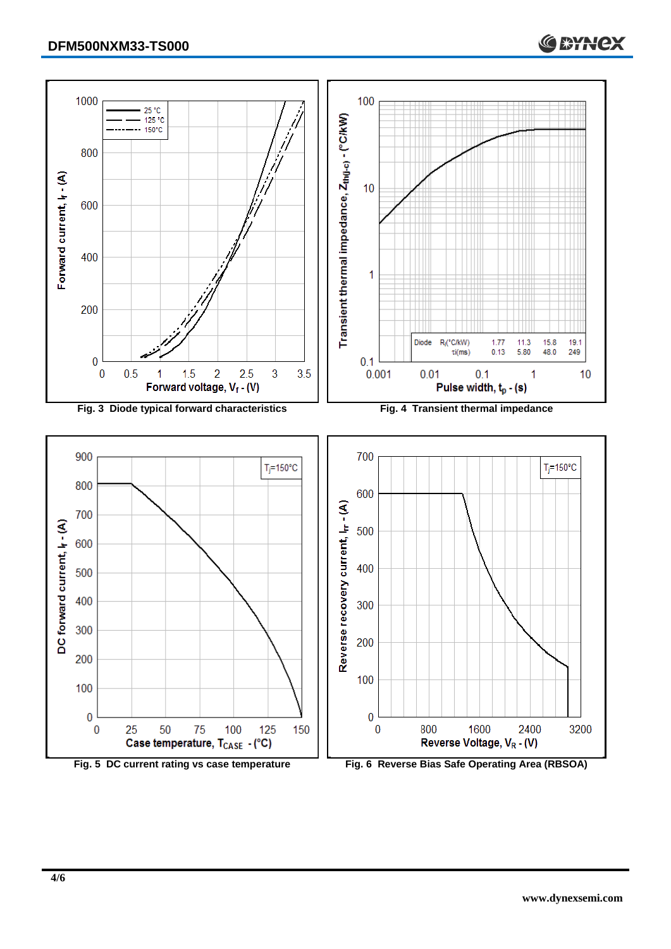

**Fig. 5 DC current rating vs case temperature Fig. 6 Reverse Bias Safe Operating Area (RBSOA)**

Case temperature, T<sub>CASE</sub> - (°C)

Reverse Voltage, VR - (V)

**www.dynexsemi.com**

**CEYNCX**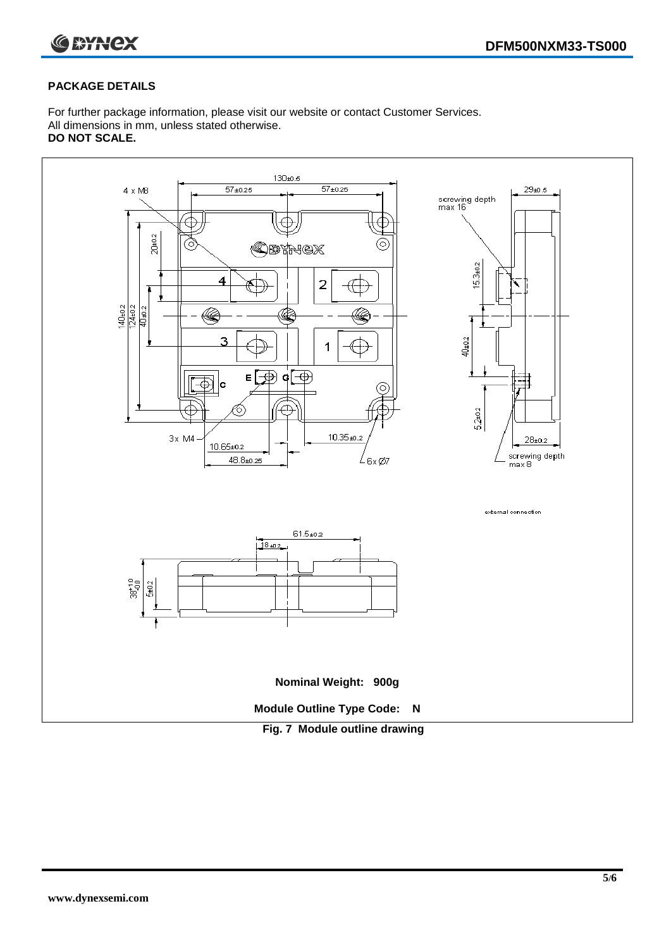



#### **PACKAGE DETAILS**

For further package information, please visit our website or contact Customer Services. All dimensions in mm, unless stated otherwise. **DO NOT SCALE.**